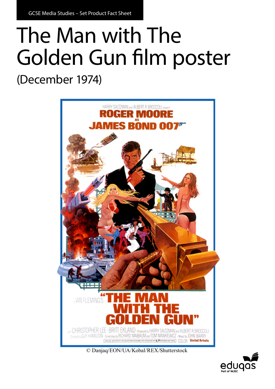GCSE Media Studies – Set Product Fact Sheet

## The Man with The Golden Gun film poster

(December 1974)



© Danjaq/EON/UA/Kobal/REX/Shutterstock

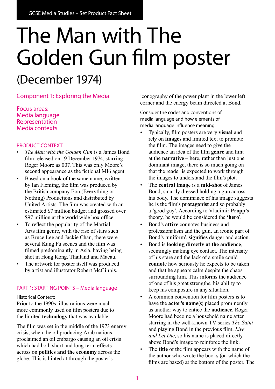# The Man with The Golden Gun film poster

### (December 1974)

Component 1: Exploring the Media

Focus areas: Media language Representation Media contexts

#### PRODUCT CONTEXT

- *The Man with the Golden Gun* is a James Bond film released on 19 December 1974, starring Roger Moore as 007. This was only Moore's second appearance as the fictional MI6 agent.
- Based on a book of the same name, written by Ian Fleming, the film was produced by the British company Eon (Everything or Nothing) Productions and distributed by United Artists. The film was created with an estimated \$7 million budget and grossed over \$97 million at the world wide box office.
- To reflect the popularity of the Martial Arts film genre, with the rise of stars such as Bruce Lee and Jackie Chan, there were several Kung Fu scenes and the film was filmed predominantly in Asia, having being shot in Hong Kong, Thailand and Macau.
- The artwork for poster itself was produced by artist and illustrator Robert McGinnis.

#### PART 1: STARTING POINTS – Media language

Historical Context:

Prior to the 1990s, illustrations were much more commonly used on film posters due to the limited **technology** that was available.

The film was set in the middle of the 1973 energy crisis, when the oil producing Arab nations proclaimed an oil embargo causing an oil crisis which had both short and long-term effects across on **politics and the economy** across the globe. This is hinted at through the poster's

iconography of the power plant in the lower left corner and the energy beam directed at Bond.

Consider the codes and conventions of media language and how elements of media language influence meaning:

- Typically, film posters are very **visual** and rely on **images** and limited text to promote the film. The images need to give the audience an idea of the film **genre** and hint at the **narrative** – here, rather than just one dominant image, there is so much going on that the reader is expected to work through the images to understand the film's plot.
- The **central image** is a **mid-shot** of James Bond, smartly dressed holding a gun across his body. The dominance of his image suggests he is the film's **protagonist** and so probably a 'good guy'. According to Vladimir **Propp's** theory, he would be considered the **'hero'**.
- Bond's **attire** connotes business and professionalism and the gun, an iconic part of Bond's 'uniform', **signifies** danger and action.
- Bond is **looking directly at the audience**, seemingly making eye contact. The intensity of his stare and the lack of a smile could **connote** how seriously he expects to be taken and that he appears calm despite the chaos surrounding him. This informs the audience of one of his great strengths, his ability to keep his composure in any situation.
- A common convention for film posters is to have the **actor's name**(s) placed prominently as another way to entice the **audience**. Roger Moore had become a household name after starring in the well-known TV series *The Saint* and playing Bond in the previous film, *Live and Let Die*, so his name is placed directly above Bond's image to reinforce the link.
- The **title** of the film appears with the name of the author who wrote the books (on which the films are based) at the bottom of the poster. The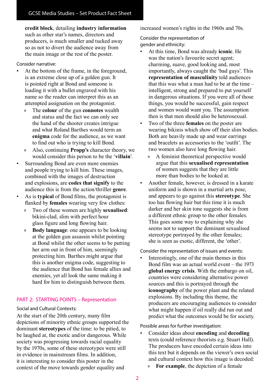**credit block**, detailing **industry information** such as other star's names, directors and producers, is much smaller and tucked away so as not to divert the audience away from the main image or the rest of the poster.

#### Consider narrative:

- At the bottom of the frame, in the foreground, is an extreme close up of a golden gun. It is pointed right at Bond and someone is loading it with a bullet engraved with his name so the reader can interpret this as an attempted assignation on the protagonist.
	- » The **colour** of the gun **connotes** wealth and status and the fact we can only see the hand of the shooter creates intrigue and what Roland Barthes would term an **enigma** code for the audience, as we want to find out who is trying to kill Bond.
	- » Also, continuing **Propp's** character theory, we would consider this person to be the '**villain**'.
- Surrounding Bond are even more enemies and people trying to kill him. These images, combined with the images of destruction and explosions, are **codes that signify** to the audience this is from the action/thriller **genre**.
- As is **typical** of Bond films, the protagonist is flanked by **females** wearing very few clothes:
	- » Two of these women are highly **sexualised**: bikini-clad, slim with perfect hour glass figure and long flowing hair.
	- » **Body language**: one appears to be looking at the golden gun assassin whilst pointing at Bond whilst the other seems to be putting her arm out in front of him, seemingly protecting him. Barthes might argue that this is another enigma code, suggesting to the audience that Bond has female allies and enemies, yet all look the same making it hard for him to distinguish between them.

#### PART 2: STARTING POINTS – Representation

#### Social and Cultural Contexts:

At the start of the 20th century, many film depictions of minority ethnic groups supported the dominant **stereotypes** of the time: to be pitied, to be laughed at, the exotic and/or dangerous. While society was progressing towards racial equality by the 1970s, some of these stereotypes were still in evidence in mainstream films. In addition, it is interesting to consider this poster in the context of the move towards gender equality and

increased women's rights in the 1960s and 70s.

Consider the representation of gender and ethnicity:

- At this time, Bond was already **iconic**. He was the nation's favourite secret agent; charming, suave, good looking and, most importantly, always caught the 'bad guys'. This **representation of masculinity** told audiences that this was what a man had to be at the time  $$ intelligent, strong and prepared to put yourself in dangerous situations. If you were all of those things, you would be successful, gain respect and women would want you. The assumption then is that men should also be heterosexual.
- Two of the three **females** on the poster are wearing bikinis which show off their slim bodies. Both are heavily made up and wear earrings and bracelets as accessories to the 'outfit'. The two women also have long flowing hair.
	- » A feminist theoretical perspective would argue that this **sexualised representation** of women suggests that they are little more than bodies to be looked at.
- Another female, however, is dressed in a karate uniform and is shown in a martial arts pose, and appears to go against this **stereotype**. She too has flowing hair but this time it is much darker and her skin tone suggests she is from a different ethnic group to the other females. This goes some way to explaining why she seems not to support the dominant sexualised stereotype portrayed by the other females; she is seen as exotic, different, the 'other'.

#### Consider the representation of issues and events:

• Interestingly, one of the main themes in this Bond film was an actual world event – the 1973 **global energy crisis**. With the embargo on oil, countries were considering alternative power sources and this is portrayed through the **iconography** of the power plant and the related explosions. By including this theme, the producers are encouraging audiences to consider what might happen if oil really did run out and predict what the outcomes would be for society.

Possible areas for further investigation:

- Consider ideas about **encoding** and **decoding** texts (could reference theorists e.g. Stuart Hall). The producers have encoded certain ideas into this text but it depends on the viewer's own social and cultural context how this image is decoded:
	- » **For example**, the depiction of a female